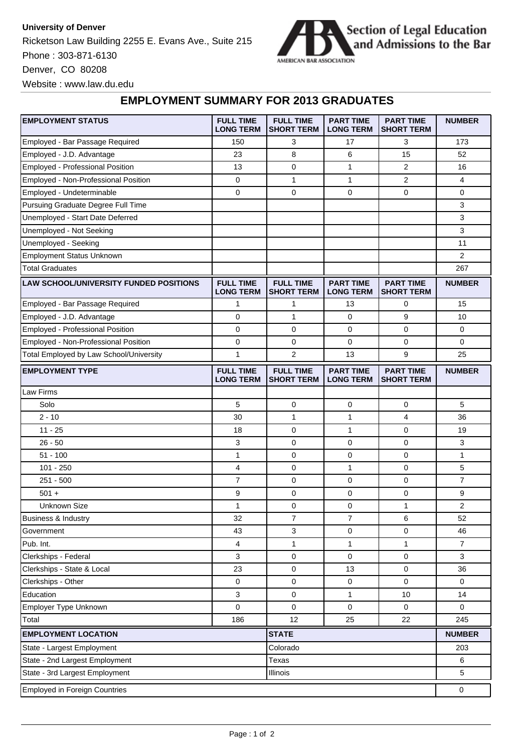## **University of Denver**

Ricketson Law Building 2255 E. Evans Ave., Suite 215 Phone : 303-871-6130 Denver, CO 80208



Website : www.law.du.edu

## **EMPLOYMENT SUMMARY FOR 2013 GRADUATES**

| <b>EMPLOYMENT STATUS</b>                      | <b>FULL TIME</b><br><b>LONG TERM</b> | <b>FULL TIME</b><br><b>SHORT TERM</b> | <b>PART TIME</b><br><b>LONG TERM</b> | <b>PART TIME</b><br><b>SHORT TERM</b> | <b>NUMBER</b>  |
|-----------------------------------------------|--------------------------------------|---------------------------------------|--------------------------------------|---------------------------------------|----------------|
| Employed - Bar Passage Required               | 150                                  | 3                                     | 17                                   | 3                                     | 173            |
| Employed - J.D. Advantage                     | 23                                   | 8                                     | 6                                    | 15                                    | 52             |
| <b>Employed - Professional Position</b>       | 13                                   | 0                                     | $\mathbf{1}$                         | $\overline{2}$                        | 16             |
| Employed - Non-Professional Position          | 0                                    | 1                                     | 1                                    | 2                                     | 4              |
| Employed - Undeterminable                     | $\mathbf 0$                          | 0                                     | $\mathbf 0$                          | 0                                     | $\mathbf 0$    |
| Pursuing Graduate Degree Full Time            |                                      |                                       |                                      |                                       | 3              |
| Unemployed - Start Date Deferred              |                                      |                                       |                                      |                                       | 3              |
| Unemployed - Not Seeking                      |                                      |                                       |                                      |                                       | 3              |
| Unemployed - Seeking                          |                                      |                                       |                                      |                                       | 11             |
| <b>Employment Status Unknown</b>              |                                      |                                       |                                      |                                       | 2              |
| <b>Total Graduates</b>                        |                                      |                                       |                                      |                                       | 267            |
| <b>LAW SCHOOL/UNIVERSITY FUNDED POSITIONS</b> | <b>FULL TIME</b><br><b>LONG TERM</b> | <b>FULL TIME</b><br><b>SHORT TERM</b> | <b>PART TIME</b><br><b>LONG TERM</b> | <b>PART TIME</b><br><b>SHORT TERM</b> | <b>NUMBER</b>  |
| Employed - Bar Passage Required               | 1                                    | 1                                     | 13                                   | 0                                     | 15             |
| Employed - J.D. Advantage                     | 0                                    | $\mathbf{1}$                          | 0                                    | 9                                     | 10             |
| Employed - Professional Position              | 0                                    | 0                                     | $\mathbf 0$                          | 0                                     | 0              |
| Employed - Non-Professional Position          | 0                                    | 0                                     | 0                                    | 0                                     | 0              |
| Total Employed by Law School/University       | $\mathbf{1}$                         | $\overline{2}$                        | 13                                   | 9                                     | 25             |
| <b>EMPLOYMENT TYPE</b>                        | <b>FULL TIME</b><br><b>LONG TERM</b> | <b>FULL TIME</b><br><b>SHORT TERM</b> | <b>PART TIME</b><br><b>LONG TERM</b> | <b>PART TIME</b><br><b>SHORT TERM</b> | <b>NUMBER</b>  |
| Law Firms                                     |                                      |                                       |                                      |                                       |                |
| Solo                                          | 5                                    | 0                                     | 0                                    | 0                                     | 5              |
| $2 - 10$                                      | 30                                   | $\mathbf{1}$                          | $\mathbf{1}$                         | $\overline{4}$                        | 36             |
| $11 - 25$                                     | 18                                   | 0                                     | $\mathbf{1}$                         | 0                                     | 19             |
| $26 - 50$                                     | 3                                    | 0                                     | $\mathbf 0$                          | 0                                     | 3              |
| $51 - 100$                                    | $\mathbf{1}$                         | 0                                     | 0                                    | 0                                     | $\mathbf{1}$   |
| $101 - 250$                                   | 4                                    | 0                                     | 1                                    | 0                                     | 5              |
| $251 - 500$                                   | 7                                    | 0                                     | 0                                    | 0                                     | $\overline{7}$ |
| $501 +$                                       | 9                                    | 0                                     | $\mathbf 0$                          | 0                                     | 9              |
| <b>Unknown Size</b>                           | $\mathbf{1}$                         | 0                                     | $\mathbf 0$                          | $\mathbf{1}$                          | 2              |
| Business & Industry                           | 32                                   | 7                                     | $\overline{7}$                       | 6                                     | 52             |
| Government                                    | 43                                   | 3                                     | 0                                    | 0                                     | 46             |
| Pub. Int.                                     | 4                                    | 1                                     | $\mathbf{1}$                         | $\mathbf{1}$                          | $\overline{7}$ |
| Clerkships - Federal                          | 3                                    | 0                                     | $\mathbf 0$                          | 0                                     | 3              |
| Clerkships - State & Local                    | 23                                   | 0                                     | 13                                   | 0                                     | 36             |
| Clerkships - Other                            | 0                                    | 0                                     | 0                                    | 0                                     | 0              |
| Education                                     | 3                                    | 0                                     | $\mathbf{1}$                         | 10                                    | 14             |
| Employer Type Unknown                         | 0                                    | 0                                     | 0                                    | 0                                     | 0              |
| Total                                         | 186                                  | 12                                    | 25                                   | 22                                    | 245            |
| <b>EMPLOYMENT LOCATION</b><br><b>STATE</b>    |                                      |                                       |                                      |                                       | <b>NUMBER</b>  |
| State - Largest Employment                    |                                      | Colorado                              |                                      |                                       | 203            |
| State - 2nd Largest Employment                | Texas                                |                                       |                                      | 6                                     |                |
| State - 3rd Largest Employment<br>Illinois    |                                      |                                       |                                      | 5                                     |                |
| <b>Employed in Foreign Countries</b>          |                                      |                                       |                                      |                                       |                |